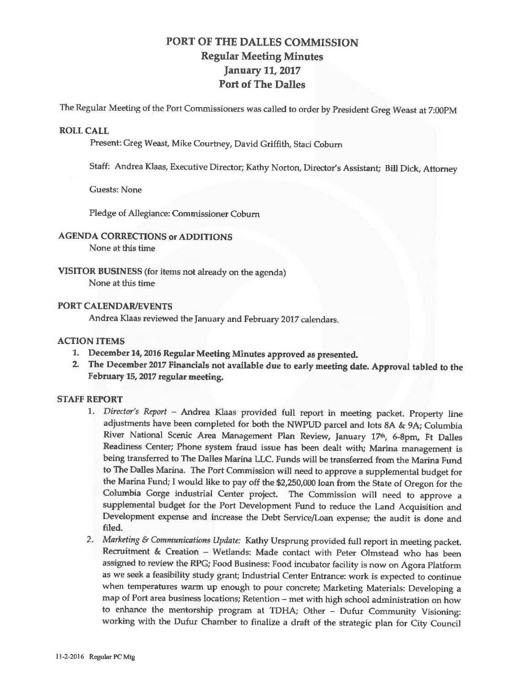# PORT OF THE DALLES COMMISSION Regular Meeting Minutes January 11, 2017 Port of The Dalles

The Regular Meeting of the Port Commissioners was called to order by President Greg Weast at 7:00PM

#### **ROLL CALL**

Present: Greg Weast, Mike Courtney, David Griffith, Staci Coburn

Staff: Andrea Klaas, Executive Director; Kathy Norton, Director's Assistant; Bill Dick, Attorney

Guests: None

Pledge of Allegiance: Commissioner Coburn

# **AGENDA CORRECTIONS or ADDITIONS**

None at this time

#### **VISITOR BUSINESS** (for items not already on the agenda) None at this time

## **PORT CALENDAR/EVENTS**

Andrea Klaas reviewed the January and February 2017 calendars.

## **ACTION ITEMS**

- **1. December 14, 2016 Regular Meeting Minutes approved as presented.**
- 2. **The December** 2017 **Financials not available due to early meeting date. Approval tabled to** the **February 15, 2017 regular meeting.**

# **STAFF REPORT**

- l. *Director's Report*  Andrea Klaas provided full report in meeting packet. Property line adjustments have been completed for both the NWPUD parcel and lots 8A & 9A; Columbia River National Scenic Area Management Plan Review, January 17th, 6-8pm, Ft Dalles Readiness Center; Phone system fraud issue has been dealt with; Marina management is being transferred to The Dalles Marina LLC. Funds will be transferred from the Marina Fund to The Dalles Marina. The Port Commission will need to approve a supplemental budget for the Marina Fund; I would like to pay off the \$2,250,000 loan from the State of Oregon for the Columbia Gorge industrial Center project. The Commission will need to approve a supplemental budget for the Port Development Fund to reduce the Land Acquisition and Development expense and increase the Debt Service/Loan expense; the audit is done and filed.
- 2. *Marketing* & *Communications Update:* Kathy Ursprung provided full report in meeting packet. Recruitment & Creation - Wetlands: Made contact with Peter Olmstead who has been assigned to review the RPG; Food Business: Food incubator facility is now on Agora Platform as we seek a feasibility study grant; Industrial Center Entrance: work is expected to continue when temperatures warm up enough to pour concrete; Marketing Materials: Developing a map of Port area business locations; Retention - met with high school administration on how to enhance the mentorship program at TDHA; Other - Dufur Community Visioning: working with the Dufur Chamber to finalize a draft of the strategic plan for City Council